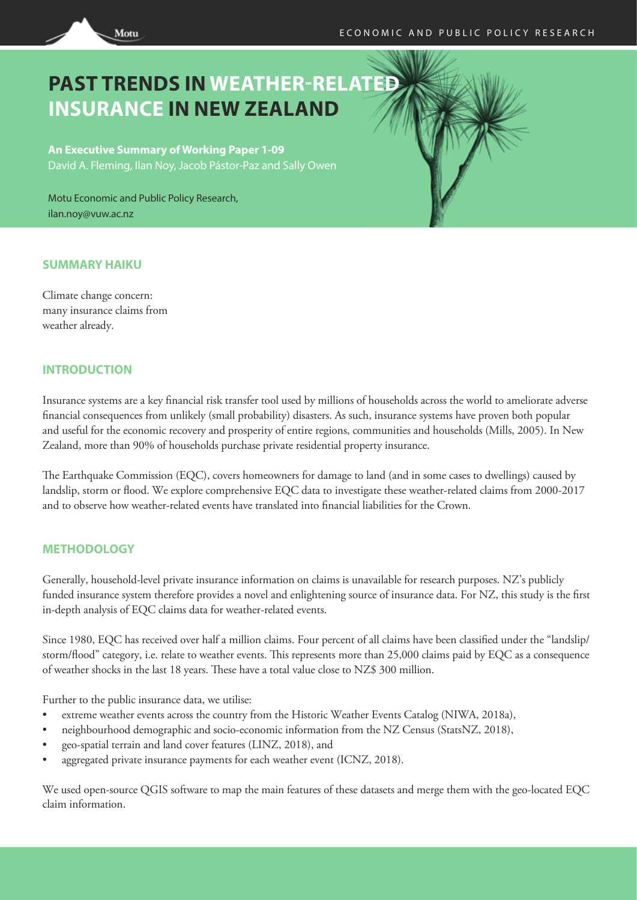

# **PAST TRENDS IN WEATHER-RELATED INSURANCE IN NEW ZEALAND**

**An Executive Summary of Working Paper 1-09** David A. Fleming, Ilan Noy, Jacob Pástor-Paz and Sally Owen

Motu Economic and Public Policy Research, ilan.noy@vuw.ac.nz

# **SUMMARY HAIKU**

Climate change concern: many insurance claims from weather already.

# **INTRODUCTION**

Insurance systems are a key financial risk transfer tool used by millions of households across the world to ameliorate adverse financial consequences from unlikely (small probability) disasters. As such, insurance systems have proven both popular and useful for the economic recovery and prosperity of entire regions, communities and households (Mills, 2005). In New Zealand, more than 90% of households purchase private residential property insurance.

The Earthquake Commission (EQC), covers homeowners for damage to land (and in some cases to dwellings) caused by landslip, storm or flood. We explore comprehensive EQC data to investigate these weather-related claims from 2000-2017 and to observe how weather-related events have translated into financial liabilities for the Crown.

# **METHODOLOGY**

Generally, household-level private insurance information on claims is unavailable for research purposes. NZ's publicly funded insurance system therefore provides a novel and enlightening source of insurance data. For NZ, this study is the first in-depth analysis of EQC claims data for weather-related events.

Since 1980, EQC has received over half a million claims. Four percent of all claims have been classified under the "landslip/ storm/flood" category, i.e. relate to weather events. This represents more than 25,000 claims paid by EQC as a consequence of weather shocks in the last 18 years. These have a total value close to NZ\$ 300 million.

Further to the public insurance data, we utilise:

- extreme weather events across the country from the Historic Weather Events Catalog (NIWA, 2018a),
- neighbourhood demographic and socio-economic information from the NZ Census (StatsNZ, 2018),
- geo-spatial terrain and land cover features (LINZ, 2018), and
- aggregated private insurance payments for each weather event (ICNZ, 2018).

We used open-source QGIS software to map the main features of these datasets and merge them with the geo-located EQC claim information.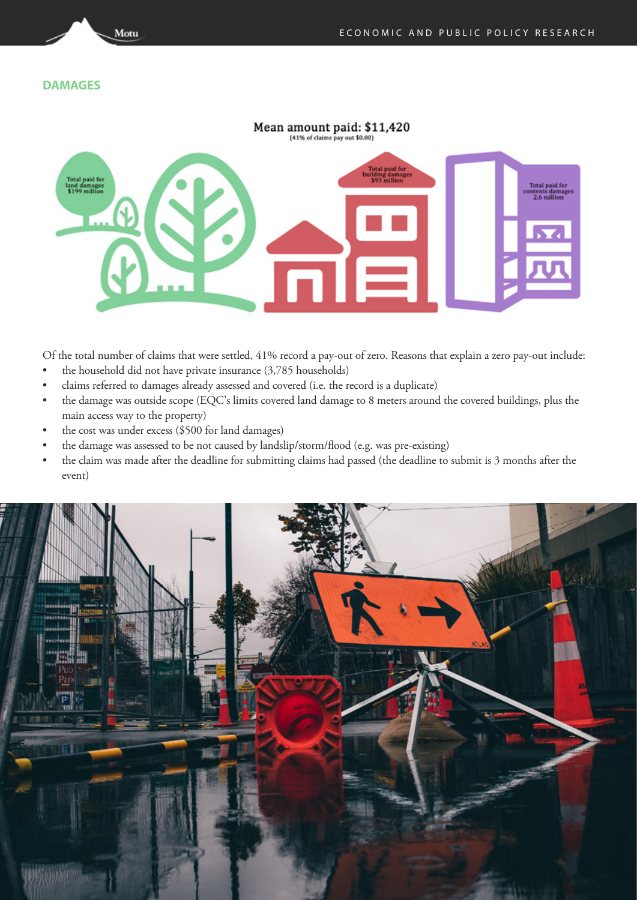## **DAMAGES**

Motu



Of the total number of claims that were settled, 41% record a pay-out of zero. Reasons that explain a zero pay-out include:

- the household did not have private insurance (3,785 households)
- claims referred to damages already assessed and covered (i.e. the record is a duplicate)
- the damage was outside scope (EQC's limits covered land damage to 8 meters around the covered buildings, plus the main access way to the property)
- the cost was under excess (\$500 for land damages)
- the damage was assessed to be not caused by landslip/storm/flood (e.g. was pre-existing)
- the claim was made after the deadline for submitting claims had passed (the deadline to submit is 3 months after the event)

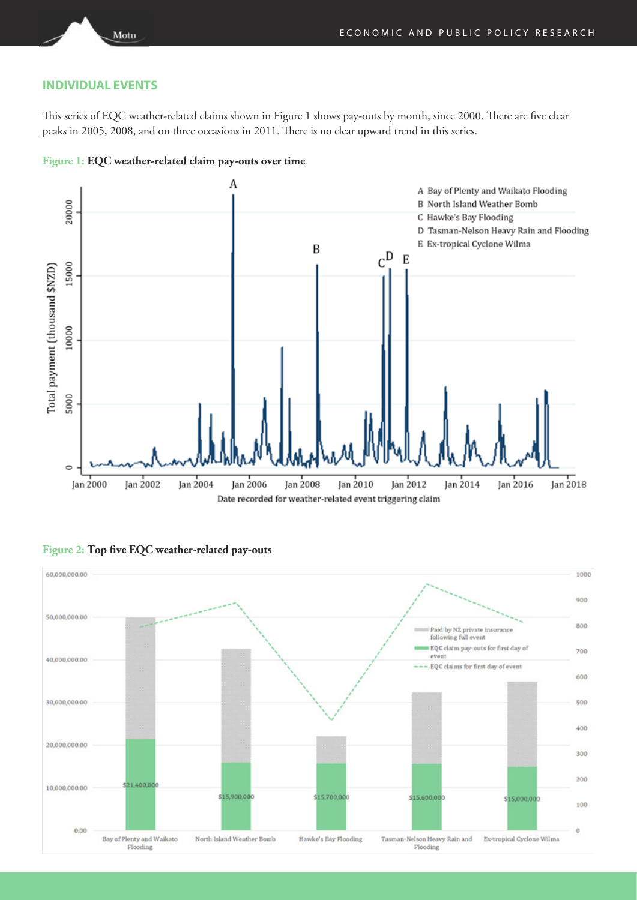## **INDIVIDUAL EVENTS**

Motu

This series of EQC weather-related claims shown in Figure 1 shows pay-outs by month, since 2000. There are five clear peaks in 2005, 2008, and on three occasions in 2011. There is no clear upward trend in this series.



**Figure 1: EQC weather-related claim pay-outs over time**



#### **Figure 2: Top five EQC weather-related pay-outs**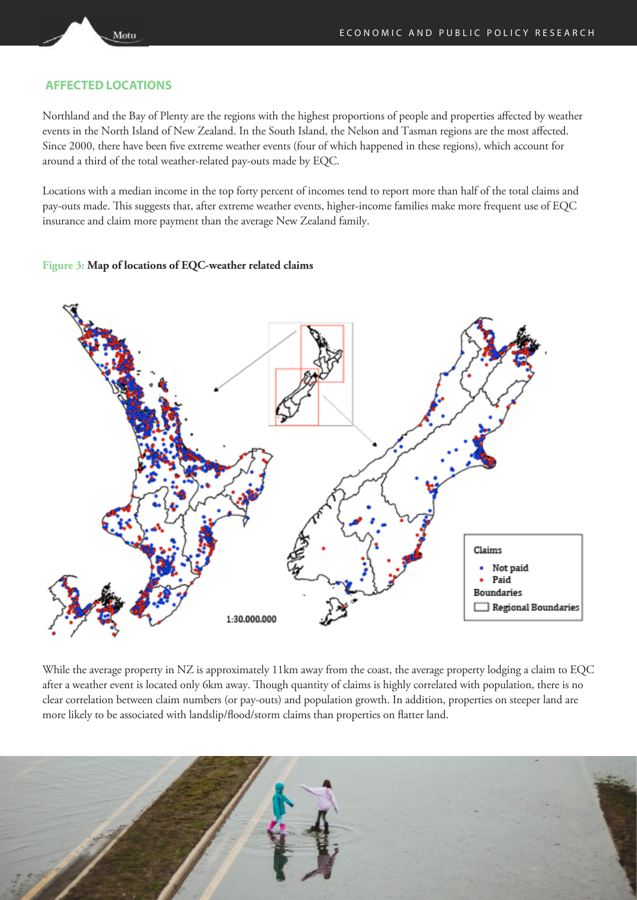# **AFFECTED LOCATIONS**

Motu

Northland and the Bay of Plenty are the regions with the highest proportions of people and properties affected by weather events in the North Island of New Zealand. In the South Island, the Nelson and Tasman regions are the most affected. Since 2000, there have been five extreme weather events (four of which happened in these regions), which account for around a third of the total weather-related pay-outs made by EQC.

Locations with a median income in the top forty percent of incomes tend to report more than half of the total claims and pay-outs made. This suggests that, after extreme weather events, higher-income families make more frequent use of EQC insurance and claim more payment than the average New Zealand family.

#### **Figure 3: Map of locations of EQC-weather related claims**



While the average property in NZ is approximately 11km away from the coast, the average property lodging a claim to EQC after a weather event is located only 6km away. Though quantity of claims is highly correlated with population, there is no clear correlation between claim numbers (or pay-outs) and population growth. In addition, properties on steeper land are more likely to be associated with landslip/flood/storm claims than properties on flatter land.